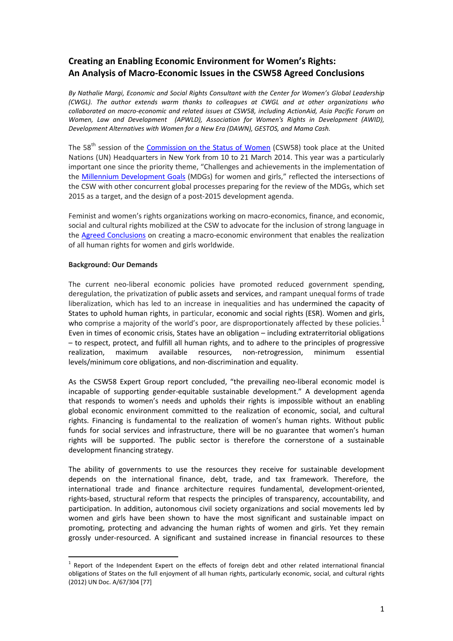## **Creating an Enabling Economic Environment for Women's Rights: An Analysis of Macro-Economic Issues in the CSW58 Agreed Conclusions**

*By Nathalie Margi, Economic and Social Rights Consultant with the Center for Women's Global Leadership (CWGL). The author extends warm thanks to colleagues at CWGL and at other organizations who collaborated on macro-economic and related issues at CSW58, including ActionAid, Asia Pacific Forum on Women, Law and Development (APWLD), Association for Women's Rights in Development (AWID), Development Alternatives with Women for a New Era (DAWN), GESTOS, and Mama Cash.*

The 58<sup>th</sup> session of the [Commission on the Status of Women](http://www.unwomen.org/co/csw/csw58-2014) (CSW58) took place at the United Nations (UN) Headquarters in New York from 10 to 21 March 2014. This year was a particularly important one since the priority theme, "Challenges and achievements in the implementation of the [Millennium Development Goals](http://www.un.org/millenniumgoals/) (MDGs) for women and girls," reflected the intersections of the CSW with other concurrent global processes preparing for the review of the MDGs, which set 2015 as a target, and the design of a post-2015 development agenda.

Feminist and women's rights organizations working on macro-economics, finance, and economic, social and cultural rights mobilized at the CSW to advocate for the inclusion of strong language in the [Agreed Conclusions](http://www.unwomen.org/%7E/media/Headquarters/Attachments/Sections/CSW/58/CSW58-agreedconclusions-advanceduneditedversion.pdf) on creating a macro-economic environment that enables the realization of all human rights for women and girls worldwide.

## **Background: Our Demands**

 $\overline{a}$ 

The current neo-liberal economic policies have promoted reduced government spending, deregulation, the privatization of public assets and services, and rampant unequal forms of trade liberalization, which has led to an increase in inequalities and has undermined the capacity of States to uphold human rights, in particular, economic and social rights (ESR). Women and girls, who comprise a majority of the world's poor, are disproportionately affected by these policies.<sup>[1](#page-0-0)</sup> Even in times of economic crisis, States have an obligation – including extraterritorial obligations – to respect, protect, and fulfill all human rights, and to adhere to the principles of progressive realization, maximum available resources, non-retrogression, minimum essential levels/minimum core obligations, and non-discrimination and equality.

As the CSW58 Expert Group report concluded, "the prevailing neo-liberal economic model is incapable of supporting gender-equitable sustainable development." A development agenda that responds to women's needs and upholds their rights is impossible without an enabling global economic environment committed to the realization of economic, social, and cultural rights. Financing is fundamental to the realization of women's human rights. Without public funds for social services and infrastructure, there will be no guarantee that women's human rights will be supported. The public sector is therefore the cornerstone of a sustainable development financing strategy.

The ability of governments to use the resources they receive for sustainable development depends on the international finance, debt, trade, and tax framework. Therefore, the international trade and finance architecture requires fundamental, development-oriented, rights-based, structural reform that respects the principles of transparency, accountability, and participation. In addition, autonomous civil society organizations and social movements led by women and girls have been shown to have the most significant and sustainable impact on promoting, protecting and advancing the human rights of women and girls. Yet they remain grossly under-resourced. A significant and sustained increase in financial resources to these

<span id="page-0-0"></span> $1$  Report of the Independent Expert on the effects of foreign debt and other related international financial obligations of States on the full enjoyment of all human rights, particularly economic, social, and cultural rights (2012) UN Doc. A/67/304 [77]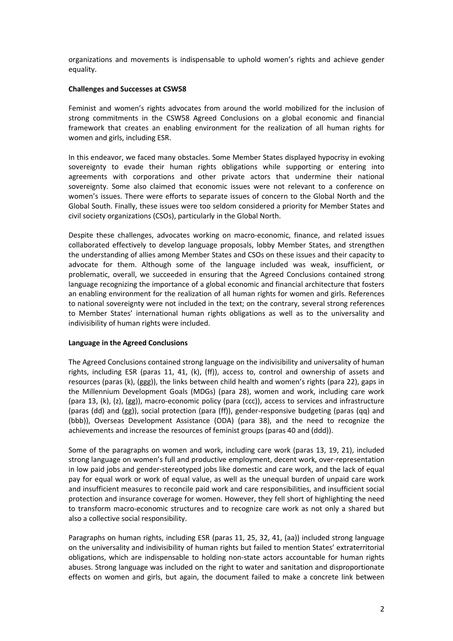organizations and movements is indispensable to uphold women's rights and achieve gender equality.

## **Challenges and Successes at CSW58**

Feminist and women's rights advocates from around the world mobilized for the inclusion of strong commitments in the CSW58 Agreed Conclusions on a global economic and financial framework that creates an enabling environment for the realization of all human rights for women and girls, including ESR.

In this endeavor, we faced many obstacles. Some Member States displayed hypocrisy in evoking sovereignty to evade their human rights obligations while supporting or entering into agreements with corporations and other private actors that undermine their national sovereignty. Some also claimed that economic issues were not relevant to a conference on women's issues. There were efforts to separate issues of concern to the Global North and the Global South. Finally, these issues were too seldom considered a priority for Member States and civil society organizations (CSOs), particularly in the Global North.

Despite these challenges, advocates working on macro-economic, finance, and related issues collaborated effectively to develop language proposals, lobby Member States, and strengthen the understanding of allies among Member States and CSOs on these issues and their capacity to advocate for them. Although some of the language included was weak, insufficient, or problematic, overall, we succeeded in ensuring that the Agreed Conclusions contained strong language recognizing the importance of a global economic and financial architecture that fosters an enabling environment for the realization of all human rights for women and girls. References to national sovereignty were not included in the text; on the contrary, several strong references to Member States' international human rights obligations as well as to the universality and indivisibility of human rights were included.

## **Language in the Agreed Conclusions**

The Agreed Conclusions contained strong language on the indivisibility and universality of human rights, including ESR (paras 11, 41, (k), (ff)), access to, control and ownership of assets and resources (paras (k), (ggg)), the links between child health and women's rights (para 22), gaps in the Millennium Development Goals (MDGs) (para 28), women and work, including care work (para 13, (k), (z), (gg)), macro-economic policy (para (ccc)), access to services and infrastructure (paras (dd) and (gg)), social protection (para (ff)), gender-responsive budgeting (paras (qq) and (bbb)), Overseas Development Assistance (ODA) (para 38), and the need to recognize the achievements and increase the resources of feminist groups (paras 40 and (ddd)).

Some of the paragraphs on women and work, including care work (paras 13, 19, 21), included strong language on women's full and productive employment, decent work, over-representation in low paid jobs and gender-stereotyped jobs like domestic and care work, and the lack of equal pay for equal work or work of equal value, as well as the unequal burden of unpaid care work and insufficient measures to reconcile paid work and care responsibilities, and insufficient social protection and insurance coverage for women. However, they fell short of highlighting the need to transform macro-economic structures and to recognize care work as not only a shared but also a collective social responsibility.

Paragraphs on human rights, including ESR (paras 11, 25, 32, 41, (aa)) included strong language on the universality and indivisibility of human rights but failed to mention States' extraterritorial obligations, which are indispensable to holding non-state actors accountable for human rights abuses. Strong language was included on the right to water and sanitation and disproportionate effects on women and girls, but again, the document failed to make a concrete link between